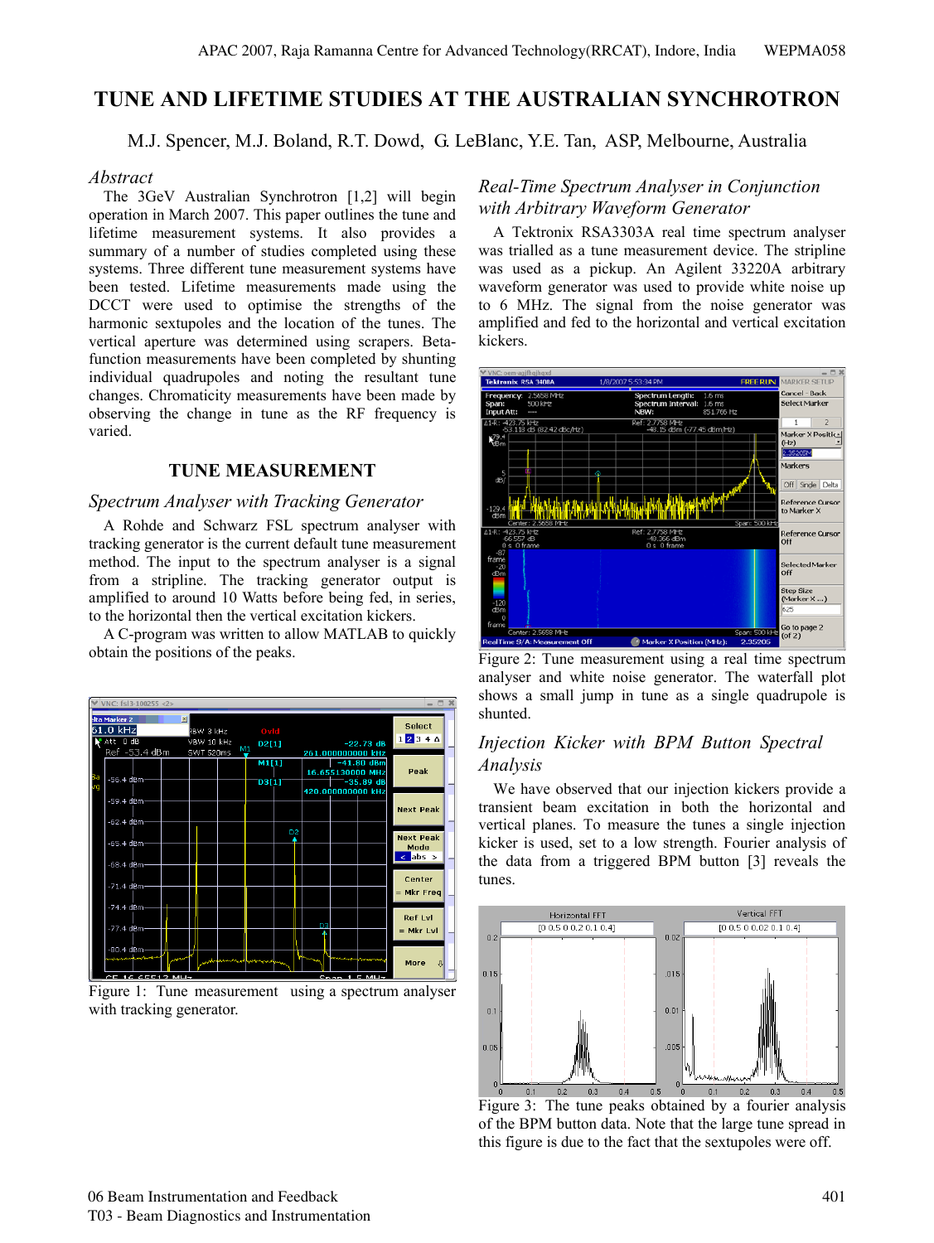# **TUNE AND LIFETIME STUDIES AT THE AUSTRALIAN SYNCHROTRON**

M.J. Spencer, M.J. Boland, R.T. Dowd, G. LeBlanc, Y.E. Tan, ASP, Melbourne, Australia

## *Abstract*

The 3GeV Australian Synchrotron [1,2] will begin operation in March 2007. This paper outlines the tune and lifetime measurement systems. It also provides a summary of a number of studies completed using these systems. Three different tune measurement systems have been tested. Lifetime measurements made using the DCCT were used to optimise the strengths of the harmonic sextupoles and the location of the tunes. The vertical aperture was determined using scrapers. Betafunction measurements have been completed by shunting individual quadrupoles and noting the resultant tune changes. Chromaticity measurements have been made by observing the change in tune as the RF frequency is varied.

# **TUNE MEASUREMENT**

## *Spectrum Analyser with Tracking Generator*

A Rohde and Schwarz FSL spectrum analyser with tracking generator is the current default tune measurement method. The input to the spectrum analyser is a signal from a stripline. The tracking generator output is amplified to around 10 Watts before being fed, in series, to the horizontal then the vertical excitation kickers.

A C-program was written to allow MATLAB to quickly obtain the positions of the peaks.



Figure 1: Tune measurement using a spectrum analyser with tracking generator.

# *Real-Time Spectrum Analyser in Conjunction with Arbitrary Waveform Generator*

A Tektronix RSA3303A real time spectrum analyser was trialled as a tune measurement device. The stripline was used as a pickup. An Agilent 33220A arbitrary waveform generator was used to provide white noise up to 6 MHz. The signal from the noise generator was amplified and fed to the horizontal and vertical excitation kickers.



Figure 2: Tune measurement using a real time spectrum analyser and white noise generator. The waterfall plot shows a small jump in tune as a single quadrupole is shunted.

# *Analysis Injection Kicker with BPM Button Spectral*

We have observed that our injection kickers provide a transient beam excitation in both the horizontal and vertical planes. To measure the tunes a single injection kicker is used, set to a low strength. Fourier analysis of the data from a triggered BPM button [3] reveals the tunes.



of the BPM button data. Note that the large tune spread in this figure is due to the fact that the sextupoles were off. Figure 3: The tune peaks obtained by a fourier analysis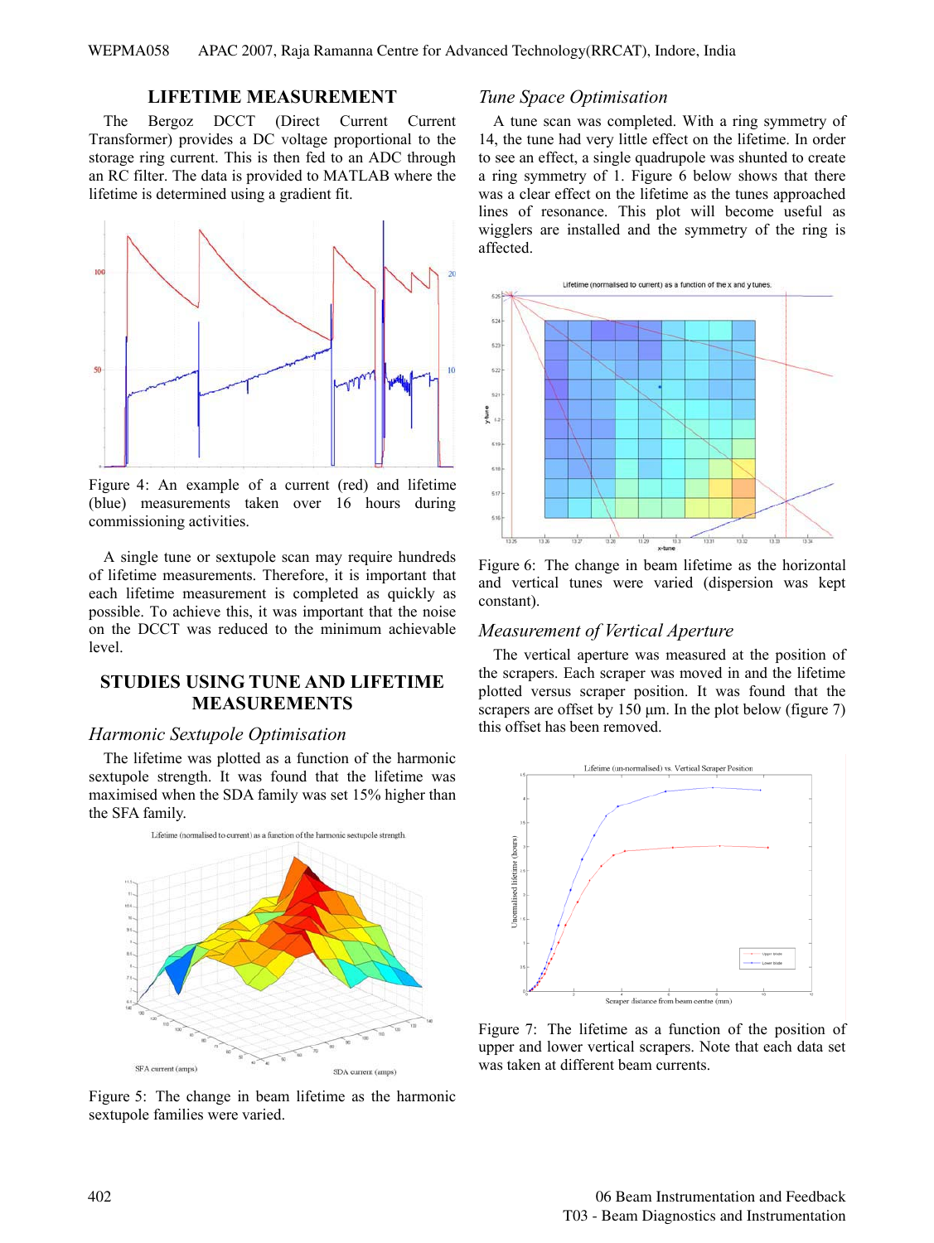### **LIFETIME MEASUREMENT**

The Bergoz DCCT (Direct Current Current Transformer) provides a DC voltage proportional to the storage ring current. This is then fed to an ADC through an RC filter. The data is provided to MATLAB where the lifetime is determined using a gradient fit.



(blue) measurements taken over 16 hours during commissioning activities. Figure 4: An example of a current (red) and lifetime

A single tune or sextupole scan may require hundreds of lifetime measurements. Therefore, it is important that each lifetime measurement is completed as quickly as possible. To achieve this, it was important that the noise on the DCCT was reduced to the minimum achievable level.

# **STUDIES USING TUNE AND LIFETIME MEASUREMENTS**

#### *Harmonic Sextupole Optimisation*

The lifetime was plotted as a function of the harmonic sextupole strength. It was found that the lifetime was maximised when the SDA family was set 15% higher than the SFA family.



Figure 5: The change in beam lifetime as the harmonic sextupole families were varied.

#### *Tune Space Optimisation*

A tune scan was completed. With a ring symmetry of 14, the tune had very little effect on the lifetime. In order to see an effect, a single quadrupole was shunted to create a ring symmetry of 1. Figure 6 below shows that there was a clear effect on the lifetime as the tunes approached lines of resonance. This plot will become useful as wigglers are installed and the symmetry of the ring is affected.



and vertical tunes were varied (dispersion was kept constant). Figure 6: The change in beam lifetime as the horizontal

#### *Measurement of Vertical Aperture*

The vertical aperture was measured at the position of the scrapers. Each scraper was moved in and the lifetime plotted versus scraper position. It was found that the scrapers are offset by 150 μm. In the plot below (figure 7) this offset has been removed.



upper and lower vertical scrapers. Note that each data set was taken at different beam currents. Figure 7: The lifetime as a function of the position of